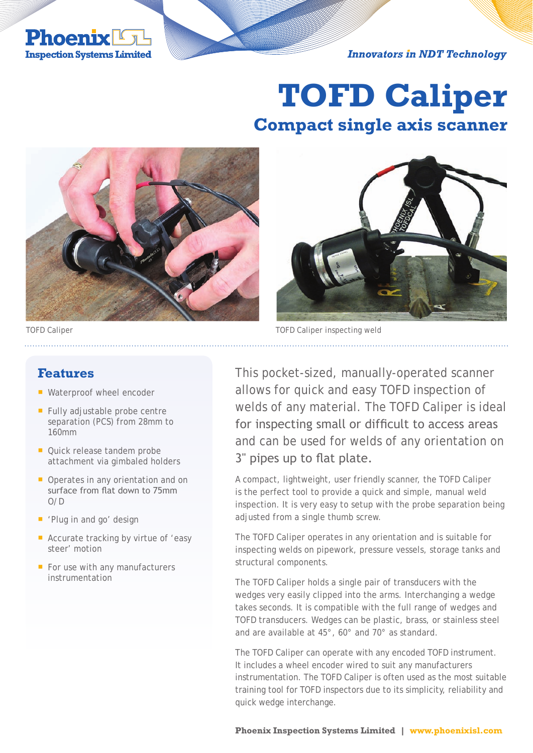

**Innovators in NDT Technology** 

# **TOFD Caliper Compact single axis scanner**





TOFD Caliper TOFD Caliper inspecting weld

#### **Features**

- Waterproof wheel encoder
- $\blacksquare$  Fully adjustable probe centre separation (PCS) from 28mm to 160mm
- Quick release tandem probe attachment via gimbaled holders
- Operates in any orientation and on surface from flat down to 75mm  $\cap$ / $\cap$
- **P** 'Plug in and go' design
- Accurate tracking by virtue of 'easy steer' motion
- For use with any manufacturers instrumentation

This pocket-sized, manually-operated scanner allows for quick and easy TOFD inspection of welds of any material. The TOFD Caliper is ideal for inspecting small or difficult to access areas and can be used for welds of any orientation on 3" pipes up to flat plate.

A compact, lightweight, user friendly scanner, the TOFD Caliper is the perfect tool to provide a quick and simple, manual weld inspection. It is very easy to setup with the probe separation being adjusted from a single thumb screw.

The TOFD Caliper operates in any orientation and is suitable for inspecting welds on pipework, pressure vessels, storage tanks and structural components.

The TOFD Caliper holds a single pair of transducers with the wedges very easily clipped into the arms. Interchanging a wedge takes seconds. It is compatible with the full range of wedges and TOFD transducers. Wedges can be plastic, brass, or stainless steel and are available at 45°, 60° and 70° as standard.

The TOFD Caliper can operate with any encoded TOFD instrument. It includes a wheel encoder wired to suit any manufacturers instrumentation. The TOFD Caliper is often used as the most suitable training tool for TOFD inspectors due to its simplicity, reliability and quick wedge interchange.